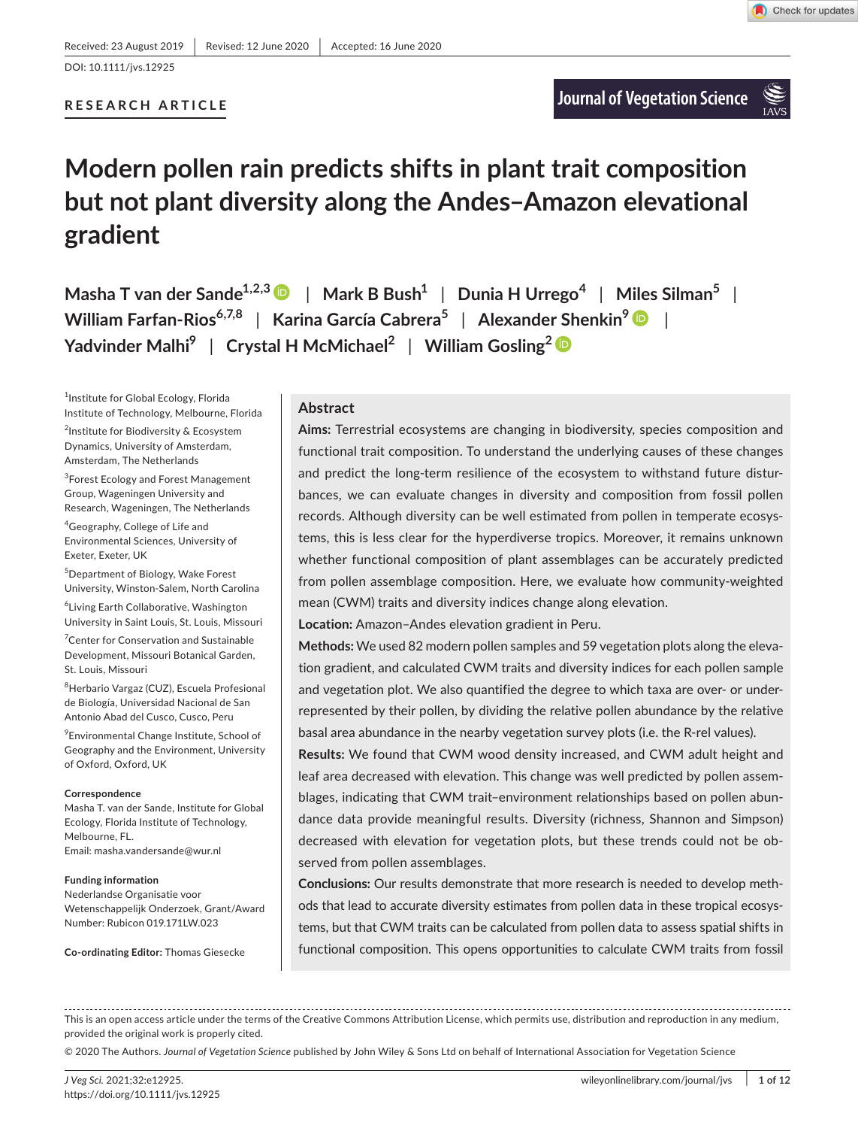DOI: 10.1111/jvs.12925

# **RESEARCH ARTICLE**

# **Modern pollen rain predicts shifts in plant trait composition but not plant diversity along the Andes–Amazon elevational gradient**

**Masha T** van der Sande<sup>1,2,3</sup>  $\bullet$  | Mark B Bush<sup>1</sup> | Dunia H Urrego<sup>4</sup> | Miles Silman<sup>5</sup> | **William Farfan-Rios6,7,8** | **Karina García Cabrera5** | **Alexander Shenkin9** | **Yadvinder Malhi9** | **Crystal H McMichael2** | **William Gosling[2](https://orcid.org/0000-0001-9903-8401)**

1 Institute for Global Ecology, Florida Institute of Technology, Melbourne, Florida

<sup>2</sup>Institute for Biodiversity & Ecosystem Dynamics, University of Amsterdam, Amsterdam, The Netherlands

<sup>3</sup>Forest Ecology and Forest Management Group, Wageningen University and Research, Wageningen, The Netherlands

4 Geography, College of Life and Environmental Sciences, University of Exeter, Exeter, UK

5 Department of Biology, Wake Forest University, Winston-Salem, North Carolina

6 Living Earth Collaborative, Washington University in Saint Louis, St. Louis, Missouri

7 Center for Conservation and Sustainable Development, Missouri Botanical Garden, St. Louis, Missouri

<sup>8</sup>Herbario Vargaz (CUZ), Escuela Profesional de Biología, Universidad Nacional de San Antonio Abad del Cusco, Cusco, Peru

9 Environmental Change Institute, School of Geography and the Environment, University of Oxford, Oxford, UK

#### **Correspondence**

Masha T. van der Sande, Institute for Global Ecology, Florida Institute of Technology, Melbourne, FL. Email: [masha.vandersande@wur.nl](mailto:masha.vandersande@wur.nl)

#### **Funding information**

Nederlandse Organisatie voor Wetenschappelijk Onderzoek, Grant/Award Number: Rubicon 019.171LW.023

**Co-ordinating Editor:** Thomas Giesecke

# **Abstract**

**Aims:** Terrestrial ecosystems are changing in biodiversity, species composition and functional trait composition. To understand the underlying causes of these changes and predict the long-term resilience of the ecosystem to withstand future disturbances, we can evaluate changes in diversity and composition from fossil pollen records. Although diversity can be well estimated from pollen in temperate ecosystems, this is less clear for the hyperdiverse tropics. Moreover, it remains unknown whether functional composition of plant assemblages can be accurately predicted from pollen assemblage composition. Here, we evaluate how community-weighted mean (CWM) traits and diversity indices change along elevation.

**Location:** Amazon–Andes elevation gradient in Peru.

**Methods:** We used 82 modern pollen samples and 59 vegetation plots along the elevation gradient, and calculated CWM traits and diversity indices for each pollen sample and vegetation plot. We also quantified the degree to which taxa are over- or underrepresented by their pollen, by dividing the relative pollen abundance by the relative basal area abundance in the nearby vegetation survey plots (i.e. the R-rel values).

**Results:** We found that CWM wood density increased, and CWM adult height and leaf area decreased with elevation. This change was well predicted by pollen assemblages, indicating that CWM trait–environment relationships based on pollen abundance data provide meaningful results. Diversity (richness, Shannon and Simpson) decreased with elevation for vegetation plots, but these trends could not be observed from pollen assemblages.

**Conclusions:** Our results demonstrate that more research is needed to develop methods that lead to accurate diversity estimates from pollen data in these tropical ecosystems, but that CWM traits can be calculated from pollen data to assess spatial shifts in functional composition. This opens opportunities to calculate CWM traits from fossil

This is an open access article under the terms of the Creative Commons Attribution License, which permits use, distribution and reproduction in any medium, provided the original work is properly cited.

© 2020 The Authors. *Journal of Vegetation Science* published by John Wiley & Sons Ltd on behalf of International Association for Vegetation Science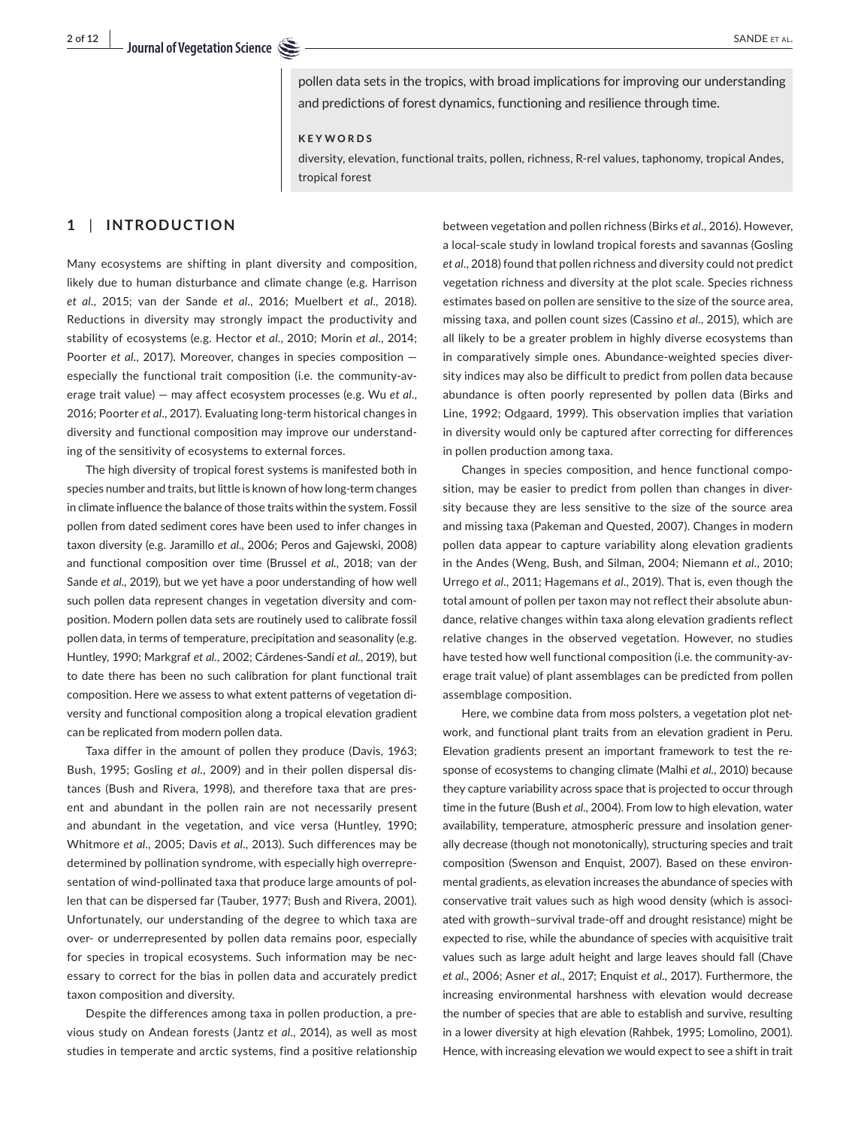pollen data sets in the tropics, with broad implications for improving our understanding and predictions of forest dynamics, functioning and resilience through time.

#### **KEYWORDS**

diversity, elevation, functional traits, pollen, richness, R-rel values, taphonomy, tropical Andes, tropical forest

# **1** | **INTRODUCTION**

Many ecosystems are shifting in plant diversity and composition, likely due to human disturbance and climate change (e.g. Harrison *et al*., 2015; van der Sande *et al*., 2016; Muelbert *et al*., 2018). Reductions in diversity may strongly impact the productivity and stability of ecosystems (e.g. Hector *et al*., 2010; Morin *et al*., 2014; Poorter *et al*., 2017). Moreover, changes in species composition especially the functional trait composition (i.e. the community-average trait value) — may affect ecosystem processes (e.g. Wu *et al*., 2016; Poorter *et al*., 2017). Evaluating long-term historical changes in diversity and functional composition may improve our understanding of the sensitivity of ecosystems to external forces.

The high diversity of tropical forest systems is manifested both in species number and traits, but little is known of how long-term changes in climate influence the balance of those traits within the system. Fossil pollen from dated sediment cores have been used to infer changes in taxon diversity (e.g. Jaramillo *et al*., 2006; Peros and Gajewski, 2008) and functional composition over time (Brussel *et al*., 2018; van der Sande *et al*., 2019), but we yet have a poor understanding of how well such pollen data represent changes in vegetation diversity and composition. Modern pollen data sets are routinely used to calibrate fossil pollen data, in terms of temperature, precipitation and seasonality (e.g. Huntley, 1990; Markgraf *et al*., 2002; Cárdenes-Sandí *et al*., 2019), but to date there has been no such calibration for plant functional trait composition. Here we assess to what extent patterns of vegetation diversity and functional composition along a tropical elevation gradient can be replicated from modern pollen data.

Taxa differ in the amount of pollen they produce (Davis, 1963; Bush, 1995; Gosling *et al*., 2009) and in their pollen dispersal distances (Bush and Rivera, 1998), and therefore taxa that are present and abundant in the pollen rain are not necessarily present and abundant in the vegetation, and vice versa (Huntley, 1990; Whitmore *et al*., 2005; Davis *et al*., 2013). Such differences may be determined by pollination syndrome, with especially high overrepresentation of wind-pollinated taxa that produce large amounts of pollen that can be dispersed far (Tauber, 1977; Bush and Rivera, 2001). Unfortunately, our understanding of the degree to which taxa are over- or underrepresented by pollen data remains poor, especially for species in tropical ecosystems. Such information may be necessary to correct for the bias in pollen data and accurately predict taxon composition and diversity.

Despite the differences among taxa in pollen production, a previous study on Andean forests (Jantz *et al*., 2014), as well as most studies in temperate and arctic systems, find a positive relationship

between vegetation and pollen richness (Birks *et al*., 2016). However, a local-scale study in lowland tropical forests and savannas (Gosling *et al*., 2018) found that pollen richness and diversity could not predict vegetation richness and diversity at the plot scale. Species richness estimates based on pollen are sensitive to the size of the source area, missing taxa, and pollen count sizes (Cassino *et al*., 2015), which are all likely to be a greater problem in highly diverse ecosystems than in comparatively simple ones. Abundance-weighted species diversity indices may also be difficult to predict from pollen data because abundance is often poorly represented by pollen data (Birks and Line, 1992; Odgaard, 1999). This observation implies that variation in diversity would only be captured after correcting for differences in pollen production among taxa.

Changes in species composition, and hence functional composition, may be easier to predict from pollen than changes in diversity because they are less sensitive to the size of the source area and missing taxa (Pakeman and Quested, 2007). Changes in modern pollen data appear to capture variability along elevation gradients in the Andes (Weng, Bush, and Silman, 2004; Niemann *et al*., 2010; Urrego *et al*., 2011; Hagemans *et al*., 2019). That is, even though the total amount of pollen per taxon may not reflect their absolute abundance, relative changes within taxa along elevation gradients reflect relative changes in the observed vegetation. However, no studies have tested how well functional composition (i.e. the community-average trait value) of plant assemblages can be predicted from pollen assemblage composition.

Here, we combine data from moss polsters, a vegetation plot network, and functional plant traits from an elevation gradient in Peru. Elevation gradients present an important framework to test the response of ecosystems to changing climate (Malhi *et al*., 2010) because they capture variability across space that is projected to occur through time in the future (Bush *et al*., 2004). From low to high elevation, water availability, temperature, atmospheric pressure and insolation generally decrease (though not monotonically), structuring species and trait composition (Swenson and Enquist, 2007). Based on these environmental gradients, as elevation increases the abundance of species with conservative trait values such as high wood density (which is associated with growth–survival trade-off and drought resistance) might be expected to rise, while the abundance of species with acquisitive trait values such as large adult height and large leaves should fall (Chave *et al*., 2006; Asner *et al*., 2017; Enquist *et al*., 2017). Furthermore, the increasing environmental harshness with elevation would decrease the number of species that are able to establish and survive, resulting in a lower diversity at high elevation (Rahbek, 1995; Lomolino, 2001). Hence, with increasing elevation we would expect to see a shift in trait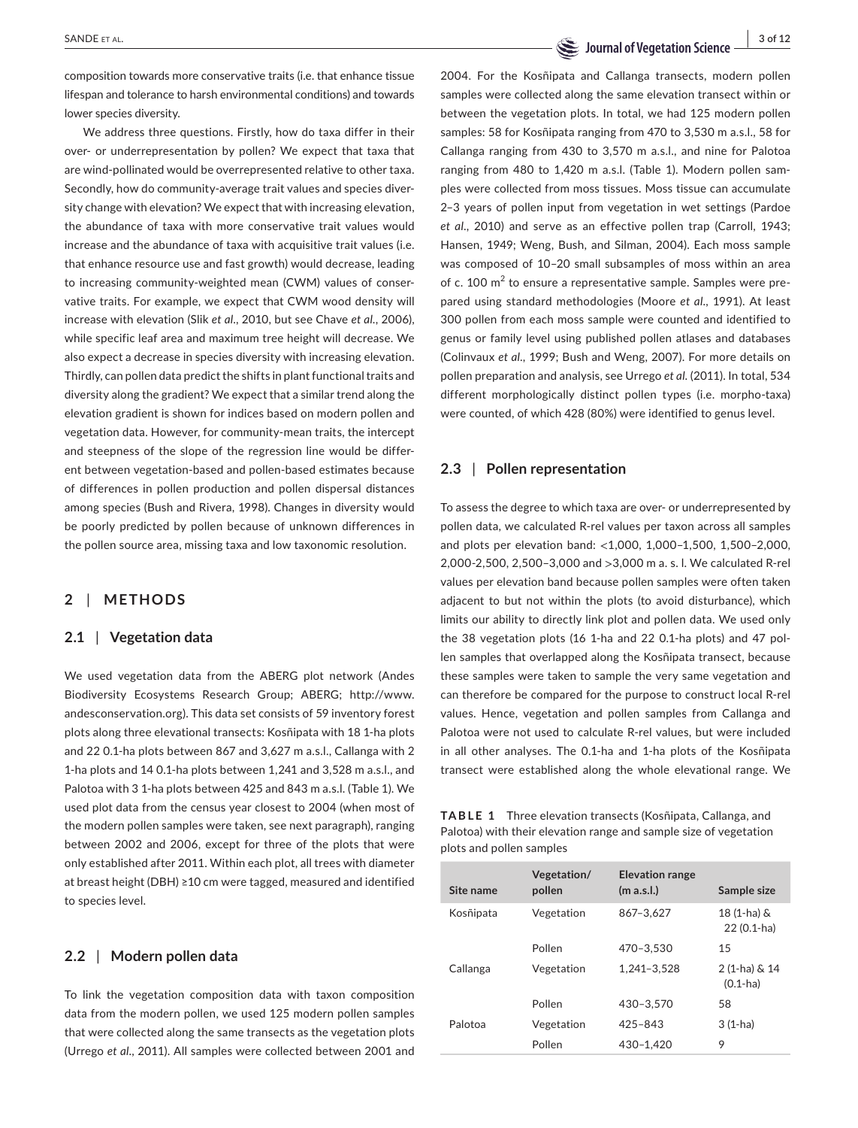composition towards more conservative traits (i.e. that enhance tissue lifespan and tolerance to harsh environmental conditions) and towards lower species diversity.

We address three questions. Firstly, how do taxa differ in their over- or underrepresentation by pollen? We expect that taxa that are wind-pollinated would be overrepresented relative to other taxa. Secondly, how do community-average trait values and species diversity change with elevation? We expect that with increasing elevation, the abundance of taxa with more conservative trait values would increase and the abundance of taxa with acquisitive trait values (i.e. that enhance resource use and fast growth) would decrease, leading to increasing community-weighted mean (CWM) values of conservative traits. For example, we expect that CWM wood density will increase with elevation (Slik *et al*., 2010, but see Chave *et al*., 2006), while specific leaf area and maximum tree height will decrease. We also expect a decrease in species diversity with increasing elevation. Thirdly, can pollen data predict the shifts in plant functional traits and diversity along the gradient? We expect that a similar trend along the elevation gradient is shown for indices based on modern pollen and vegetation data. However, for community-mean traits, the intercept and steepness of the slope of the regression line would be different between vegetation-based and pollen-based estimates because of differences in pollen production and pollen dispersal distances among species (Bush and Rivera, 1998). Changes in diversity would be poorly predicted by pollen because of unknown differences in the pollen source area, missing taxa and low taxonomic resolution.

# **2** | **METHODS**

### **2.1** | **Vegetation data**

We used vegetation data from the ABERG plot network (Andes Biodiversity Ecosystems Research Group; ABERG; [http://www.](http://www.andesconservation.org) [andesconservation.org\)](http://www.andesconservation.org). This data set consists of 59 inventory forest plots along three elevational transects: Kosñipata with 18 1-ha plots and 22 0.1-ha plots between 867 and 3,627 m a.s.l., Callanga with 2 1-ha plots and 14 0.1-ha plots between 1,241 and 3,528 m a.s.l., and Palotoa with 3 1-ha plots between 425 and 843 m a.s.l. (Table 1). We used plot data from the census year closest to 2004 (when most of the modern pollen samples were taken, see next paragraph), ranging between 2002 and 2006, except for three of the plots that were only established after 2011. Within each plot, all trees with diameter at breast height (DBH) ≥10 cm were tagged, measured and identified to species level.

## **2.2** | **Modern pollen data**

To link the vegetation composition data with taxon composition data from the modern pollen, we used 125 modern pollen samples that were collected along the same transects as the vegetation plots (Urrego *et al*., 2011). All samples were collected between 2001 and

# **SANDE ET AL. 1996 12 Journal of Vegetation Science** SANDE ET AL.

2004. For the Kosñipata and Callanga transects, modern pollen samples were collected along the same elevation transect within or between the vegetation plots. In total, we had 125 modern pollen samples: 58 for Kosñipata ranging from 470 to 3,530 m a.s.l., 58 for Callanga ranging from 430 to 3,570 m a.s.l., and nine for Palotoa ranging from 480 to 1,420 m a.s.l. (Table 1). Modern pollen samples were collected from moss tissues. Moss tissue can accumulate 2–3 years of pollen input from vegetation in wet settings (Pardoe *et al*., 2010) and serve as an effective pollen trap (Carroll, 1943; Hansen, 1949; Weng, Bush, and Silman, 2004). Each moss sample was composed of 10–20 small subsamples of moss within an area of c.  $100 \text{ m}^2$  to ensure a representative sample. Samples were prepared using standard methodologies (Moore *et al*., 1991). At least 300 pollen from each moss sample were counted and identified to genus or family level using published pollen atlases and databases (Colinvaux *et al*., 1999; Bush and Weng, 2007). For more details on pollen preparation and analysis, see Urrego *et al*. (2011). In total, 534 different morphologically distinct pollen types (i.e. morpho-taxa) were counted, of which 428 (80%) were identified to genus level.

## **2.3** | **Pollen representation**

To assess the degree to which taxa are over- or underrepresented by pollen data, we calculated R-rel values per taxon across all samples and plots per elevation band: <1,000, 1,000–1,500, 1,500–2,000, 2,000-2,500, 2,500–3,000 and >3,000 m a. s. l. We calculated R-rel values per elevation band because pollen samples were often taken adjacent to but not within the plots (to avoid disturbance), which limits our ability to directly link plot and pollen data. We used only the 38 vegetation plots (16 1-ha and 22 0.1-ha plots) and 47 pollen samples that overlapped along the Kosñipata transect, because these samples were taken to sample the very same vegetation and can therefore be compared for the purpose to construct local R-rel values. Hence, vegetation and pollen samples from Callanga and Palotoa were not used to calculate R-rel values, but were included in all other analyses. The 0.1-ha and 1-ha plots of the Kosñipata transect were established along the whole elevational range. We

**TABLE 1** Three elevation transects (Kosñipata, Callanga, and Palotoa) with their elevation range and sample size of vegetation plots and pollen samples

| Site name | Vegetation/<br>pollen | <b>Elevation range</b><br>(m a.s.l.) | Sample size                   |
|-----------|-----------------------|--------------------------------------|-------------------------------|
| Kosñipata | Vegetation            | 867-3.627                            | 18 (1-ha) &<br>22 (0.1-ha)    |
|           | Pollen                | 470-3.530                            | 15                            |
| Callanga  | Vegetation            | 1.241-3.528                          | 2 (1-ha) & 14<br>$(0.1 - ha)$ |
|           | Pollen                | 430-3.570                            | 58                            |
| Palotoa   | Vegetation            | $425 - 843$                          | $3(1-ha)$                     |
|           | Pollen                | 430-1.420                            | 9                             |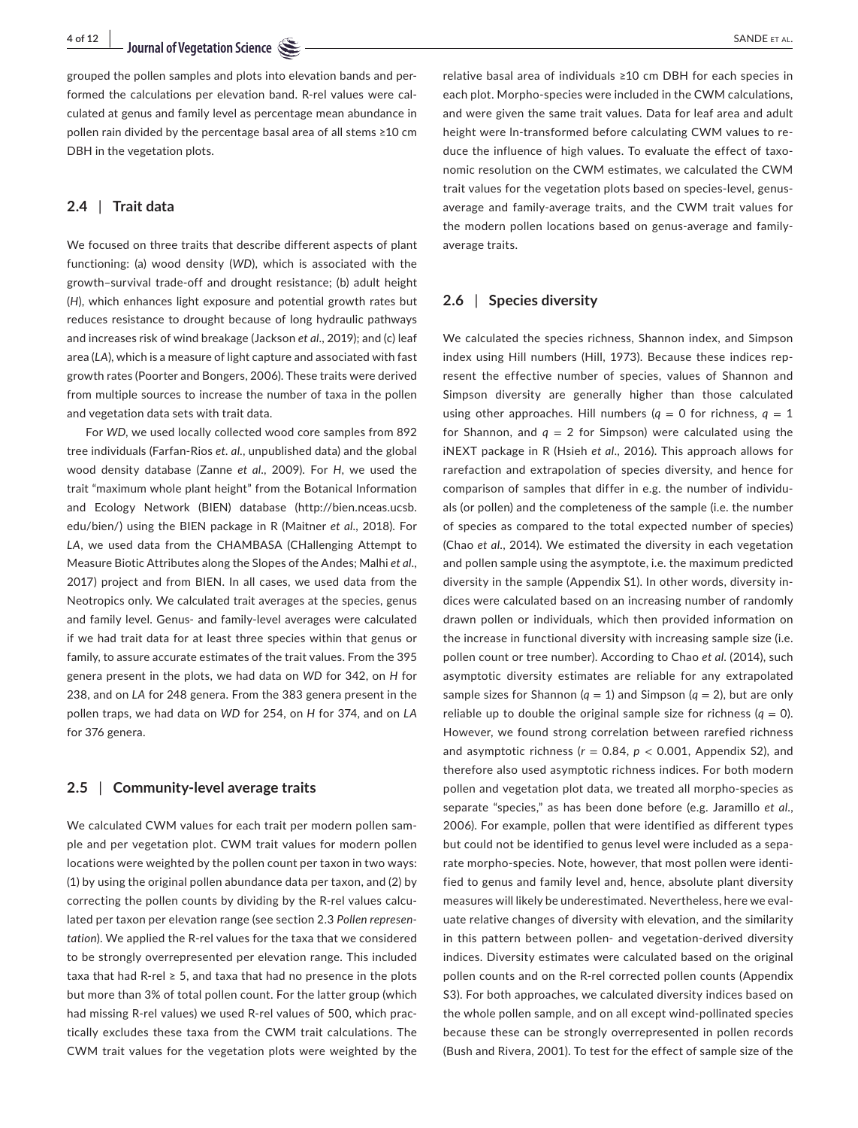grouped the pollen samples and plots into elevation bands and performed the calculations per elevation band. R-rel values were calculated at genus and family level as percentage mean abundance in pollen rain divided by the percentage basal area of all stems ≥10 cm DBH in the vegetation plots.

### **2.4** | **Trait data**

We focused on three traits that describe different aspects of plant functioning: (a) wood density (*WD*), which is associated with the growth–survival trade-off and drought resistance; (b) adult height (*H*), which enhances light exposure and potential growth rates but reduces resistance to drought because of long hydraulic pathways and increases risk of wind breakage (Jackson *et al*., 2019); and (c) leaf area (*LA*), which is a measure of light capture and associated with fast growth rates (Poorter and Bongers, 2006). These traits were derived from multiple sources to increase the number of taxa in the pollen and vegetation data sets with trait data.

For *WD*, we used locally collected wood core samples from 892 tree individuals (Farfan-Rios *et. al*., unpublished data) and the global wood density database (Zanne *et al*., 2009). For *H*, we used the trait "maximum whole plant height" from the Botanical Information and Ecology Network (BIEN) database ([http://bien.nceas.ucsb.](http://bien.nceas.ucsb.edu/bien/) [edu/bien/\)](http://bien.nceas.ucsb.edu/bien/) using the BIEN package in R (Maitner *et al*., 2018). For *LA*, we used data from the CHAMBASA (CHallenging Attempt to Measure Biotic Attributes along the Slopes of the Andes; Malhi *et al*., 2017) project and from BIEN. In all cases, we used data from the Neotropics only. We calculated trait averages at the species, genus and family level. Genus- and family-level averages were calculated if we had trait data for at least three species within that genus or family, to assure accurate estimates of the trait values. From the 395 genera present in the plots, we had data on *WD* for 342, on *H* for 238, and on *LA* for 248 genera. From the 383 genera present in the pollen traps, we had data on *WD* for 254, on *H* for 374, and on *LA* for 376 genera.

### **2.5** | **Community-level average traits**

We calculated CWM values for each trait per modern pollen sample and per vegetation plot. CWM trait values for modern pollen locations were weighted by the pollen count per taxon in two ways: (1) by using the original pollen abundance data per taxon, and (2) by correcting the pollen counts by dividing by the R-rel values calculated per taxon per elevation range (see section 2.3 *Pollen representation*). We applied the R-rel values for the taxa that we considered to be strongly overrepresented per elevation range. This included taxa that had R-rel  $\geq 5$ , and taxa that had no presence in the plots but more than 3% of total pollen count. For the latter group (which had missing R-rel values) we used R-rel values of 500, which practically excludes these taxa from the CWM trait calculations. The CWM trait values for the vegetation plots were weighted by the

relative basal area of individuals ≥10 cm DBH for each species in each plot. Morpho-species were included in the CWM calculations, and were given the same trait values. Data for leaf area and adult height were ln-transformed before calculating CWM values to reduce the influence of high values. To evaluate the effect of taxonomic resolution on the CWM estimates, we calculated the CWM trait values for the vegetation plots based on species-level, genusaverage and family-average traits, and the CWM trait values for the modern pollen locations based on genus-average and familyaverage traits.

### **2.6** | **Species diversity**

We calculated the species richness, Shannon index, and Simpson index using Hill numbers (Hill, 1973). Because these indices represent the effective number of species, values of Shannon and Simpson diversity are generally higher than those calculated using other approaches. Hill numbers  $(q = 0$  for richness,  $q = 1$ for Shannon, and  $q = 2$  for Simpson) were calculated using the iNEXT package in R (Hsieh *et al*., 2016). This approach allows for rarefaction and extrapolation of species diversity, and hence for comparison of samples that differ in e.g. the number of individuals (or pollen) and the completeness of the sample (i.e. the number of species as compared to the total expected number of species) (Chao *et al*., 2014). We estimated the diversity in each vegetation and pollen sample using the asymptote, i.e. the maximum predicted diversity in the sample (Appendix S1). In other words, diversity indices were calculated based on an increasing number of randomly drawn pollen or individuals, which then provided information on the increase in functional diversity with increasing sample size (i.e. pollen count or tree number). According to Chao *et al*. (2014), such asymptotic diversity estimates are reliable for any extrapolated sample sizes for Shannon ( $q = 1$ ) and Simpson ( $q = 2$ ), but are only reliable up to double the original sample size for richness  $(q = 0)$ . However, we found strong correlation between rarefied richness and asymptotic richness ( $r = 0.84$ ,  $p < 0.001$ , Appendix S2), and therefore also used asymptotic richness indices. For both modern pollen and vegetation plot data, we treated all morpho-species as separate "species," as has been done before (e.g. Jaramillo *et al*., 2006). For example, pollen that were identified as different types but could not be identified to genus level were included as a separate morpho-species. Note, however, that most pollen were identified to genus and family level and, hence, absolute plant diversity measures will likely be underestimated. Nevertheless, here we evaluate relative changes of diversity with elevation, and the similarity in this pattern between pollen- and vegetation-derived diversity indices. Diversity estimates were calculated based on the original pollen counts and on the R-rel corrected pollen counts (Appendix S3). For both approaches, we calculated diversity indices based on the whole pollen sample, and on all except wind-pollinated species because these can be strongly overrepresented in pollen records (Bush and Rivera, 2001). To test for the effect of sample size of the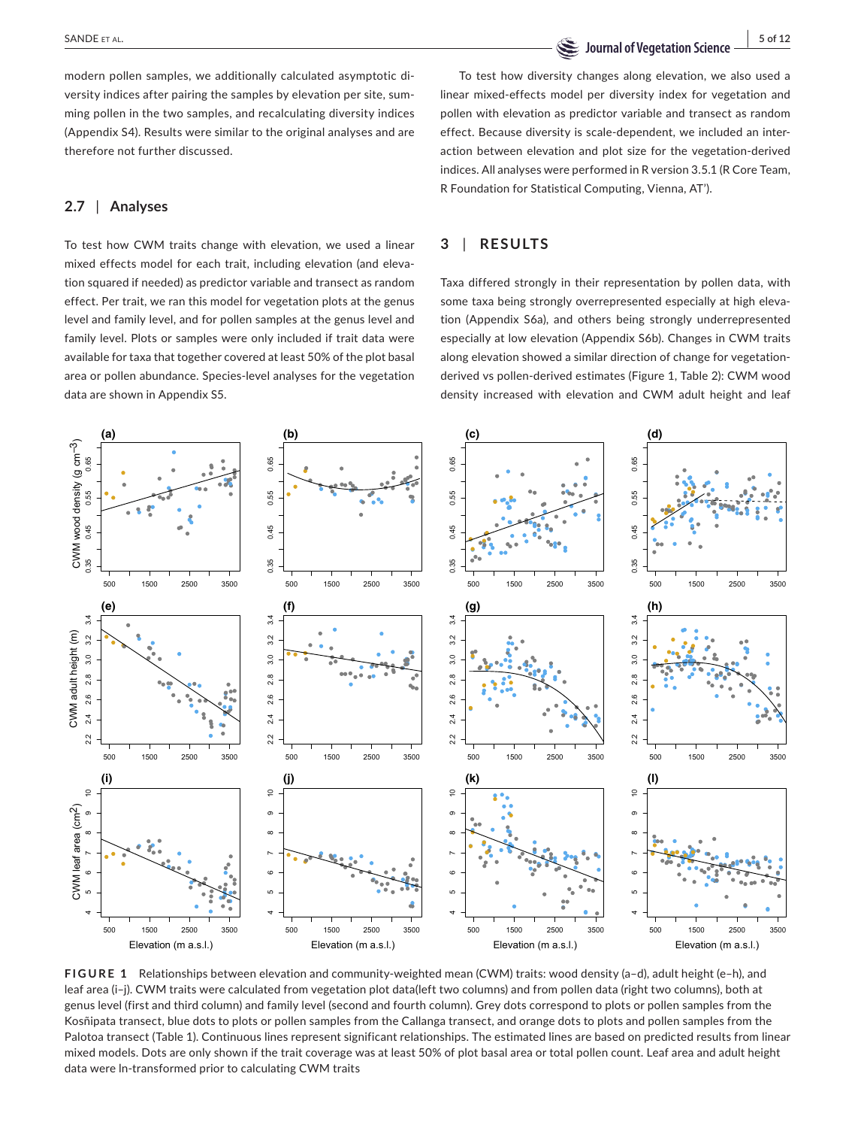**SANDE ET AL.** SANDE ET AL. SANDE ET AL.

modern pollen samples, we additionally calculated asymptotic diversity indices after pairing the samples by elevation per site, summing pollen in the two samples, and recalculating diversity indices (Appendix S4). Results were similar to the original analyses and are therefore not further discussed.

### **2.7** | **Analyses**

To test how CWM traits change with elevation, we used a linear mixed effects model for each trait, including elevation (and elevation squared if needed) as predictor variable and transect as random effect. Per trait, we ran this model for vegetation plots at the genus level and family level, and for pollen samples at the genus level and family level. Plots or samples were only included if trait data were available for taxa that together covered at least 50% of the plot basal area or pollen abundance. Species-level analyses for the vegetation data are shown in Appendix S5.

To test how diversity changes along elevation, we also used a linear mixed-effects model per diversity index for vegetation and pollen with elevation as predictor variable and transect as random effect. Because diversity is scale-dependent, we included an interaction between elevation and plot size for the vegetation-derived indices. All analyses were performed in R version 3.5.1 (R Core Team, R Foundation for Statistical Computing, Vienna, AT').

# **3** | **RESULTS**

Taxa differed strongly in their representation by pollen data, with some taxa being strongly overrepresented especially at high elevation (Appendix S6a), and others being strongly underrepresented especially at low elevation (Appendix S6b). Changes in CWM traits along elevation showed a similar direction of change for vegetationderived vs pollen-derived estimates (Figure 1, Table 2): CWM wood density increased with elevation and CWM adult height and leaf



**FIGURE 1** Relationships between elevation and community-weighted mean (CWM) traits: wood density (a–d), adult height (e–h), and leaf area (i–j). CWM traits were calculated from vegetation plot data(left two columns) and from pollen data (right two columns), both at genus level (first and third column) and family level (second and fourth column). Grey dots correspond to plots or pollen samples from the Kosñipata transect, blue dots to plots or pollen samples from the Callanga transect, and orange dots to plots and pollen samples from the Palotoa transect (Table 1). Continuous lines represent significant relationships. The estimated lines are based on predicted results from linear mixed models. Dots are only shown if the trait coverage was at least 50% of plot basal area or total pollen count. Leaf area and adult height data were ln-transformed prior to calculating CWM traits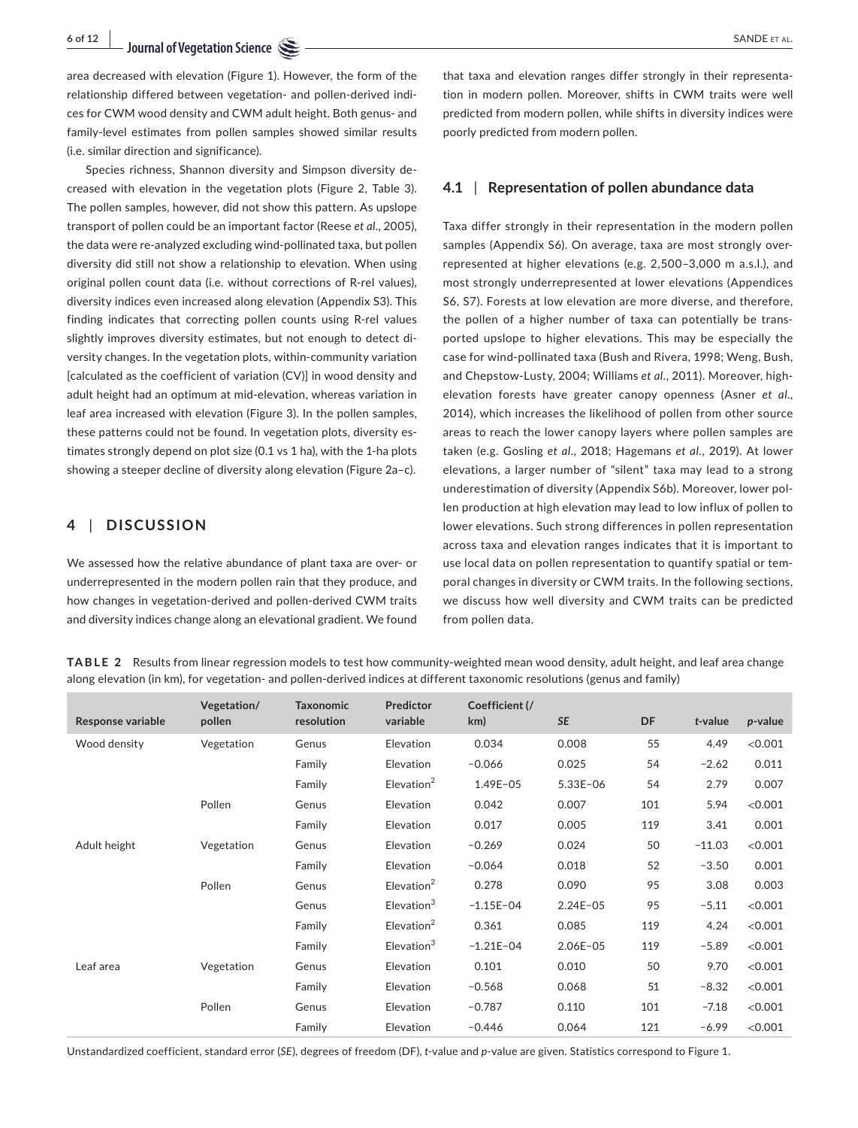area decreased with elevation (Figure 1). However, the form of the relationship differed between vegetation- and pollen-derived indices for CWM wood density and CWM adult height. Both genus- and family-level estimates from pollen samples showed similar results (i.e. similar direction and significance).

Species richness, Shannon diversity and Simpson diversity decreased with elevation in the vegetation plots (Figure 2, Table 3). The pollen samples, however, did not show this pattern. As upslope transport of pollen could be an important factor (Reese *et al*., 2005), the data were re-analyzed excluding wind-pollinated taxa, but pollen diversity did still not show a relationship to elevation. When using original pollen count data (i.e. without corrections of R-rel values), diversity indices even increased along elevation (Appendix S3). This finding indicates that correcting pollen counts using R-rel values slightly improves diversity estimates, but not enough to detect diversity changes. In the vegetation plots, within-community variation [calculated as the coefficient of variation (CV)] in wood density and adult height had an optimum at mid-elevation, whereas variation in leaf area increased with elevation (Figure 3). In the pollen samples, these patterns could not be found. In vegetation plots, diversity estimates strongly depend on plot size (0.1 vs 1 ha), with the 1-ha plots showing a steeper decline of diversity along elevation (Figure 2a–c).

## **4** | **DISCUSSION**

We assessed how the relative abundance of plant taxa are over- or underrepresented in the modern pollen rain that they produce, and how changes in vegetation-derived and pollen-derived CWM traits and diversity indices change along an elevational gradient. We found

that taxa and elevation ranges differ strongly in their representation in modern pollen. Moreover, shifts in CWM traits were well predicted from modern pollen, while shifts in diversity indices were poorly predicted from modern pollen.

# **4.1** | **Representation of pollen abundance data**

Taxa differ strongly in their representation in the modern pollen samples (Appendix S6). On average, taxa are most strongly overrepresented at higher elevations (e.g. 2,500–3,000 m a.s.l.), and most strongly underrepresented at lower elevations (Appendices S6, S7). Forests at low elevation are more diverse, and therefore, the pollen of a higher number of taxa can potentially be transported upslope to higher elevations. This may be especially the case for wind-pollinated taxa (Bush and Rivera, 1998; Weng, Bush, and Chepstow-Lusty, 2004; Williams *et al*., 2011). Moreover, highelevation forests have greater canopy openness (Asner *et al*., 2014), which increases the likelihood of pollen from other source areas to reach the lower canopy layers where pollen samples are taken (e.g. Gosling *et al*., 2018; Hagemans *et al*., 2019). At lower elevations, a larger number of "silent" taxa may lead to a strong underestimation of diversity (Appendix S6b). Moreover, lower pollen production at high elevation may lead to low influx of pollen to lower elevations. Such strong differences in pollen representation across taxa and elevation ranges indicates that it is important to use local data on pollen representation to quantify spatial or temporal changes in diversity or CWM traits. In the following sections, we discuss how well diversity and CWM traits can be predicted from pollen data.

**TABLE 2** Results from linear regression models to test how community-weighted mean wood density, adult height, and leaf area change along elevation (in km), for vegetation- and pollen-derived indices at different taxonomic resolutions (genus and family)

| <b>Response variable</b> | Vegetation/<br>pollen | <b>Taxonomic</b><br>resolution | Predictor<br>variable     | Coefficient (/<br>km) | <b>SE</b>    | DF  | $t$ -value | $p$ -value |
|--------------------------|-----------------------|--------------------------------|---------------------------|-----------------------|--------------|-----|------------|------------|
| Wood density             | Vegetation            | Genus                          | Elevation                 | 0.034                 | 0.008        | 55  | 4.49       | < 0.001    |
|                          |                       | Family                         | Elevation                 | $-0.066$              | 0.025        | 54  | $-2.62$    | 0.011      |
|                          |                       | Family                         | Elevation <sup>2</sup>    | $1.49E - 05$          | $5.33E - 06$ | 54  | 2.79       | 0.007      |
|                          | Pollen                | Genus                          | Elevation                 | 0.042                 | 0.007        | 101 | 5.94       | < 0.001    |
|                          |                       | Family                         | Elevation                 | 0.017                 | 0.005        | 119 | 3.41       | 0.001      |
| Adult height             | Vegetation            | Genus                          | Elevation                 | $-0.269$              | 0.024        | 50  | $-11.03$   | < 0.001    |
|                          |                       | Family                         | Elevation                 | $-0.064$              | 0.018        | 52  | $-3.50$    | 0.001      |
|                          | Pollen                | Genus                          | $E$ levation <sup>2</sup> | 0.278                 | 0.090        | 95  | 3.08       | 0.003      |
|                          |                       | Genus                          | $E$ levation $3$          | $-1.15E-04$           | $2.24E - 05$ | 95  | $-5.11$    | < 0.001    |
|                          |                       | Family                         | $E$ levation <sup>2</sup> | 0.361                 | 0.085        | 119 | 4.24       | < 0.001    |
|                          |                       | Family                         | Elevation <sup>3</sup>    | $-1.21E-04$           | $2.06E - 05$ | 119 | $-5.89$    | < 0.001    |
| Leaf area                | Vegetation            | Genus                          | Elevation                 | 0.101                 | 0.010        | 50  | 9.70       | < 0.001    |
|                          |                       | Family                         | Elevation                 | $-0.568$              | 0.068        | 51  | $-8.32$    | < 0.001    |
|                          | Pollen                | Genus                          | Elevation                 | $-0.787$              | 0.110        | 101 | $-7.18$    | < 0.001    |
|                          |                       | Family                         | Elevation                 | $-0.446$              | 0.064        | 121 | $-6.99$    | < 0.001    |

Unstandardized coefficient, standard error (*SE*), degrees of freedom (DF), *t*-value and *p*-value are given. Statistics correspond to Figure 1.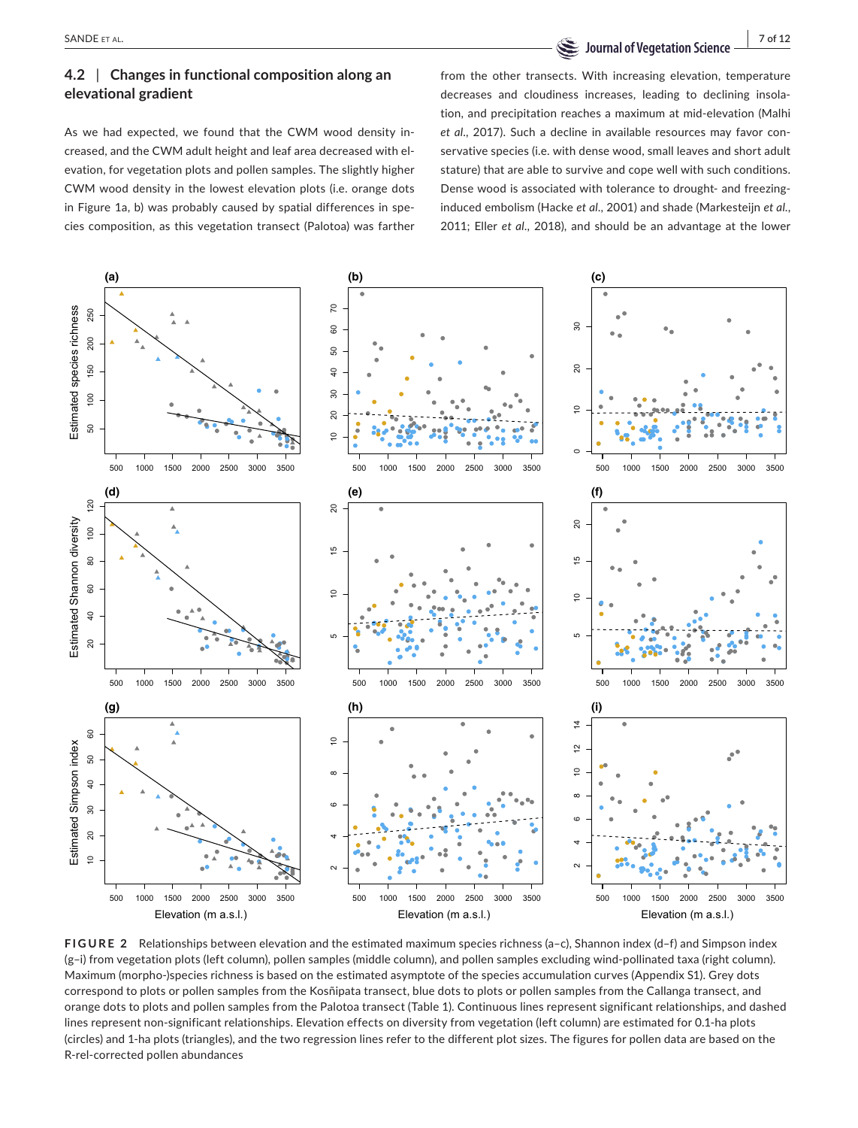**SANDE ET AL.** THE SANDE ET AL. THE SANDE ET AL.

# **4.2** | **Changes in functional composition along an elevational gradient**

As we had expected, we found that the CWM wood density increased, and the CWM adult height and leaf area decreased with elevation, for vegetation plots and pollen samples. The slightly higher CWM wood density in the lowest elevation plots (i.e. orange dots in Figure 1a, b) was probably caused by spatial differences in species composition, as this vegetation transect (Palotoa) was farther from the other transects. With increasing elevation, temperature decreases and cloudiness increases, leading to declining insolation, and precipitation reaches a maximum at mid-elevation (Malhi *et al*., 2017). Such a decline in available resources may favor conservative species (i.e. with dense wood, small leaves and short adult stature) that are able to survive and cope well with such conditions. Dense wood is associated with tolerance to drought- and freezinginduced embolism (Hacke *et al*., 2001) and shade (Markesteijn *et al*., 2011; Eller *et al*., 2018), and should be an advantage at the lower



**FIGURE 2** Relationships between elevation and the estimated maximum species richness (a–c), Shannon index (d–f) and Simpson index (g–i) from vegetation plots (left column), pollen samples (middle column), and pollen samples excluding wind-pollinated taxa (right column). Maximum (morpho-)species richness is based on the estimated asymptote of the species accumulation curves (Appendix S1). Grey dots correspond to plots or pollen samples from the Kosñipata transect, blue dots to plots or pollen samples from the Callanga transect, and orange dots to plots and pollen samples from the Palotoa transect (Table 1). Continuous lines represent significant relationships, and dashed lines represent non-significant relationships. Elevation effects on diversity from vegetation (left column) are estimated for 0.1-ha plots (circles) and 1-ha plots (triangles), and the two regression lines refer to the different plot sizes. The figures for pollen data are based on the R-rel-corrected pollen abundances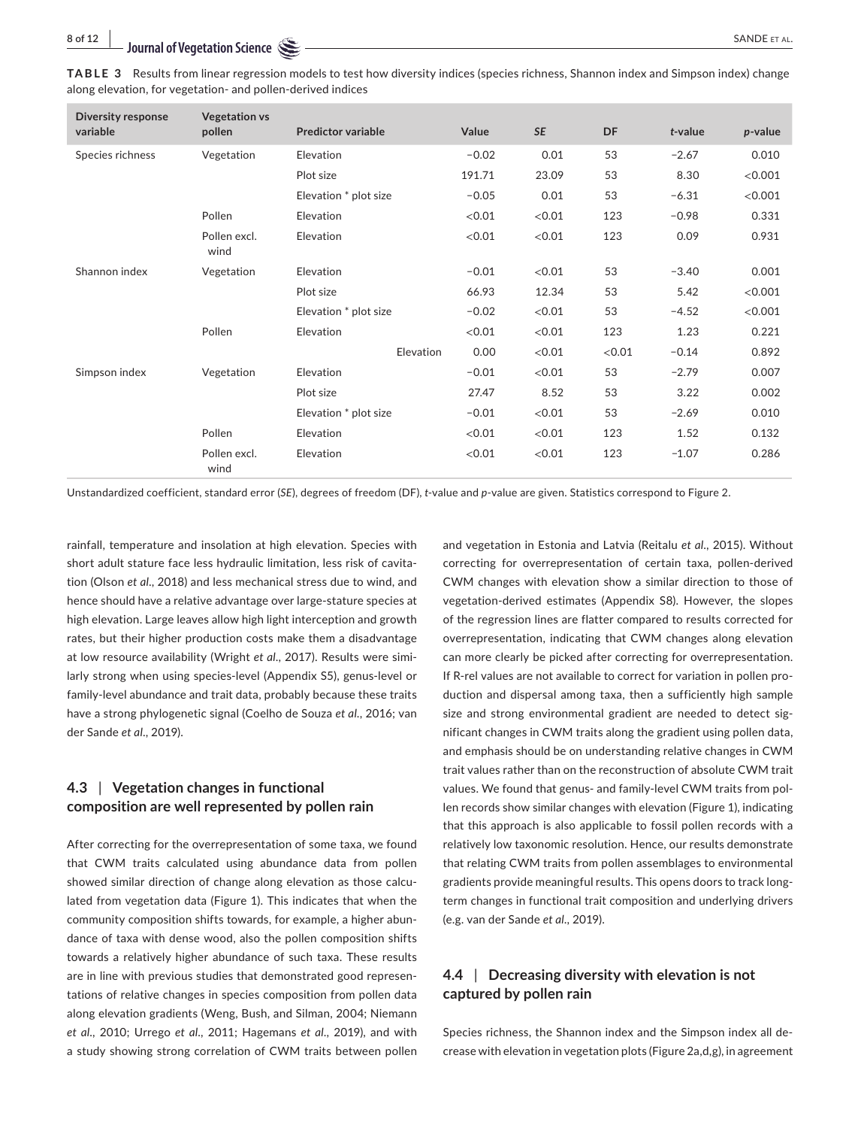| TABLE 3 Results from linear regression models to test how diversity indices (species richness, Shannon index and Simpson index) change |  |  |  |  |
|----------------------------------------------------------------------------------------------------------------------------------------|--|--|--|--|
| along elevation, for vegetation- and pollen-derived indices                                                                            |  |  |  |  |

| <b>Diversity response</b> | <b>Vegetation vs</b> |                           |         |           |        |         |            |
|---------------------------|----------------------|---------------------------|---------|-----------|--------|---------|------------|
| variable                  | pollen               | <b>Predictor variable</b> | Value   | <b>SE</b> | DF     | t-value | $p$ -value |
| Species richness          | Vegetation           | Elevation                 | $-0.02$ | 0.01      | 53     | $-2.67$ | 0.010      |
|                           |                      | Plot size                 | 191.71  | 23.09     | 53     | 8.30    | < 0.001    |
|                           |                      | Elevation * plot size     | $-0.05$ | 0.01      | 53     | $-6.31$ | < 0.001    |
|                           | Pollen               | Elevation                 | < 0.01  | < 0.01    | 123    | $-0.98$ | 0.331      |
|                           | Pollen excl.<br>wind | Elevation                 | < 0.01  | < 0.01    | 123    | 0.09    | 0.931      |
| Shannon index             | Vegetation           | Elevation                 | $-0.01$ | < 0.01    | 53     | $-3.40$ | 0.001      |
|                           |                      | Plot size                 | 66.93   | 12.34     | 53     | 5.42    | < 0.001    |
|                           |                      | Elevation * plot size     | $-0.02$ | < 0.01    | 53     | $-4.52$ | < 0.001    |
|                           | Pollen               | Elevation                 | < 0.01  | < 0.01    | 123    | 1.23    | 0.221      |
|                           |                      | Elevation                 | 0.00    | < 0.01    | < 0.01 | $-0.14$ | 0.892      |
| Simpson index             | Vegetation           | Elevation                 | $-0.01$ | < 0.01    | 53     | $-2.79$ | 0.007      |
|                           |                      | Plot size                 | 27.47   | 8.52      | 53     | 3.22    | 0.002      |
|                           |                      | Elevation * plot size     | $-0.01$ | < 0.01    | 53     | $-2.69$ | 0.010      |
|                           | Pollen               | <b>Elevation</b>          | < 0.01  | < 0.01    | 123    | 1.52    | 0.132      |
|                           | Pollen excl.<br>wind | Elevation                 | < 0.01  | < 0.01    | 123    | $-1.07$ | 0.286      |

Unstandardized coefficient, standard error (*SE*), degrees of freedom (DF), *t*-value and *p*-value are given. Statistics correspond to Figure 2.

rainfall, temperature and insolation at high elevation. Species with short adult stature face less hydraulic limitation, less risk of cavitation (Olson *et al*., 2018) and less mechanical stress due to wind, and hence should have a relative advantage over large-stature species at high elevation. Large leaves allow high light interception and growth rates, but their higher production costs make them a disadvantage at low resource availability (Wright *et al*., 2017). Results were similarly strong when using species-level (Appendix S5), genus-level or family-level abundance and trait data, probably because these traits have a strong phylogenetic signal (Coelho de Souza *et al*., 2016; van der Sande *et al*., 2019).

# **4.3** | **Vegetation changes in functional composition are well represented by pollen rain**

After correcting for the overrepresentation of some taxa, we found that CWM traits calculated using abundance data from pollen showed similar direction of change along elevation as those calculated from vegetation data (Figure 1). This indicates that when the community composition shifts towards, for example, a higher abundance of taxa with dense wood, also the pollen composition shifts towards a relatively higher abundance of such taxa. These results are in line with previous studies that demonstrated good representations of relative changes in species composition from pollen data along elevation gradients (Weng, Bush, and Silman, 2004; Niemann *et al*., 2010; Urrego *et al*., 2011; Hagemans *et al*., 2019), and with a study showing strong correlation of CWM traits between pollen

and vegetation in Estonia and Latvia (Reitalu *et al*., 2015). Without correcting for overrepresentation of certain taxa, pollen-derived CWM changes with elevation show a similar direction to those of vegetation-derived estimates (Appendix S8). However, the slopes of the regression lines are flatter compared to results corrected for overrepresentation, indicating that CWM changes along elevation can more clearly be picked after correcting for overrepresentation. If R-rel values are not available to correct for variation in pollen production and dispersal among taxa, then a sufficiently high sample size and strong environmental gradient are needed to detect significant changes in CWM traits along the gradient using pollen data, and emphasis should be on understanding relative changes in CWM trait values rather than on the reconstruction of absolute CWM trait values. We found that genus- and family-level CWM traits from pollen records show similar changes with elevation (Figure 1), indicating that this approach is also applicable to fossil pollen records with a relatively low taxonomic resolution. Hence, our results demonstrate that relating CWM traits from pollen assemblages to environmental gradients provide meaningful results. This opens doors to track longterm changes in functional trait composition and underlying drivers (e.g. van der Sande *et al*., 2019).

# **4.4** | **Decreasing diversity with elevation is not captured by pollen rain**

Species richness, the Shannon index and the Simpson index all decrease with elevation in vegetation plots (Figure 2a,d,g), in agreement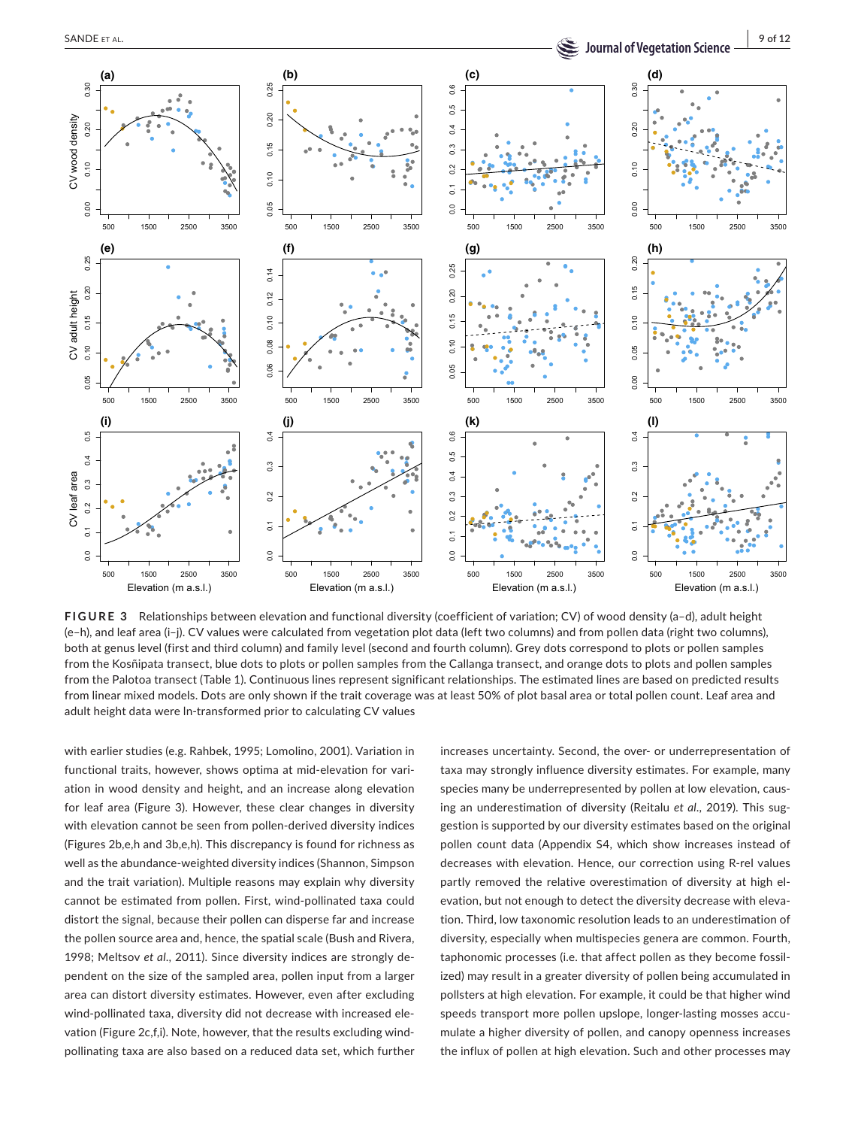

**FIGURE 3** Relationships between elevation and functional diversity (coefficient of variation; CV) of wood density (a–d), adult height (e–h), and leaf area (i–j). CV values were calculated from vegetation plot data (left two columns) and from pollen data (right two columns), both at genus level (first and third column) and family level (second and fourth column). Grey dots correspond to plots or pollen samples from the Kosñipata transect, blue dots to plots or pollen samples from the Callanga transect, and orange dots to plots and pollen samples from the Palotoa transect (Table 1). Continuous lines represent significant relationships. The estimated lines are based on predicted results from linear mixed models. Dots are only shown if the trait coverage was at least 50% of plot basal area or total pollen count. Leaf area and adult height data were ln-transformed prior to calculating CV values

with earlier studies (e.g. Rahbek, 1995; Lomolino, 2001). Variation in functional traits, however, shows optima at mid-elevation for variation in wood density and height, and an increase along elevation for leaf area (Figure 3). However, these clear changes in diversity with elevation cannot be seen from pollen-derived diversity indices (Figures 2b,e,h and 3b,e,h). This discrepancy is found for richness as well as the abundance-weighted diversity indices (Shannon, Simpson and the trait variation). Multiple reasons may explain why diversity cannot be estimated from pollen. First, wind-pollinated taxa could distort the signal, because their pollen can disperse far and increase the pollen source area and, hence, the spatial scale (Bush and Rivera, 1998; Meltsov *et al*., 2011). Since diversity indices are strongly dependent on the size of the sampled area, pollen input from a larger area can distort diversity estimates. However, even after excluding wind-pollinated taxa, diversity did not decrease with increased elevation (Figure 2c,f,i). Note, however, that the results excluding windpollinating taxa are also based on a reduced data set, which further increases uncertainty. Second, the over- or underrepresentation of taxa may strongly influence diversity estimates. For example, many species many be underrepresented by pollen at low elevation, causing an underestimation of diversity (Reitalu *et al*., 2019). This suggestion is supported by our diversity estimates based on the original pollen count data (Appendix S4, which show increases instead of decreases with elevation. Hence, our correction using R-rel values partly removed the relative overestimation of diversity at high elevation, but not enough to detect the diversity decrease with elevation. Third, low taxonomic resolution leads to an underestimation of diversity, especially when multispecies genera are common. Fourth, taphonomic processes (i.e. that affect pollen as they become fossilized) may result in a greater diversity of pollen being accumulated in pollsters at high elevation. For example, it could be that higher wind speeds transport more pollen upslope, longer-lasting mosses accumulate a higher diversity of pollen, and canopy openness increases the influx of pollen at high elevation. Such and other processes may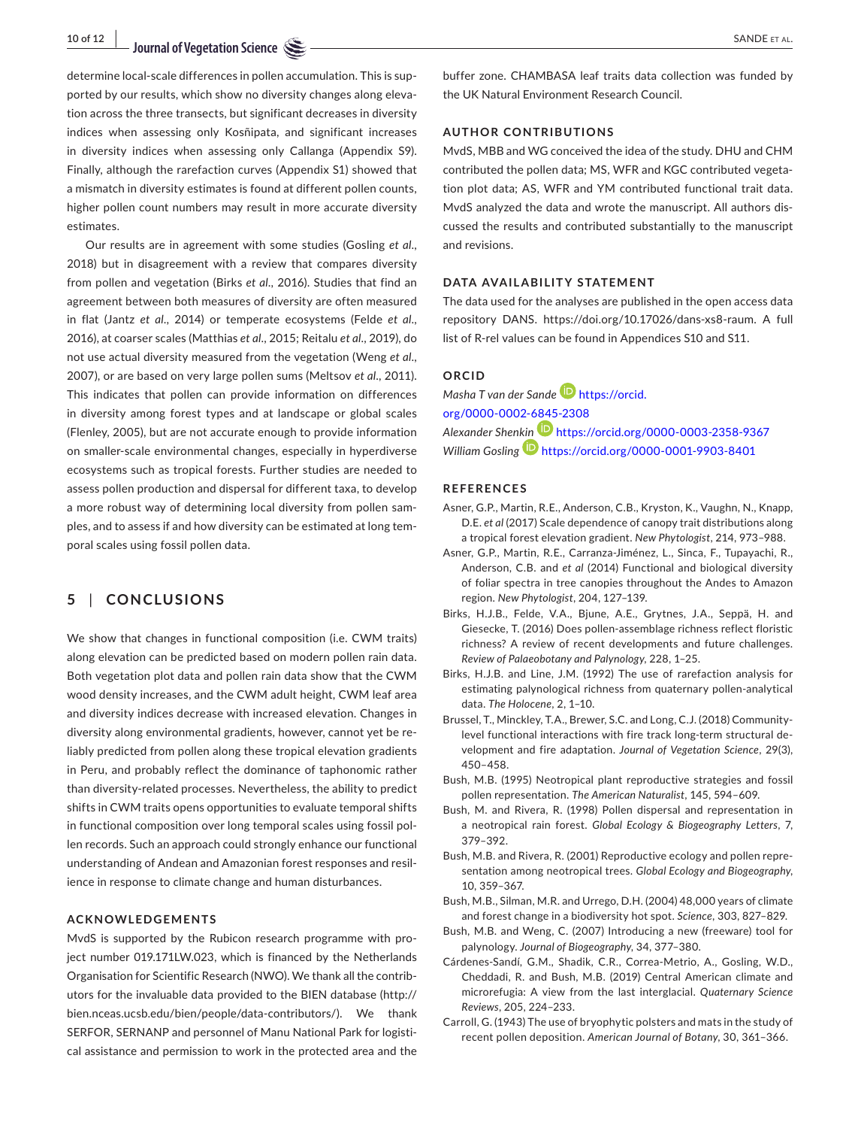determine local-scale differences in pollen accumulation. This is supported by our results, which show no diversity changes along elevation across the three transects, but significant decreases in diversity indices when assessing only Kosñipata, and significant increases in diversity indices when assessing only Callanga (Appendix S9). Finally, although the rarefaction curves (Appendix S1) showed that a mismatch in diversity estimates is found at different pollen counts, higher pollen count numbers may result in more accurate diversity estimates.

Our results are in agreement with some studies (Gosling *et al*., 2018) but in disagreement with a review that compares diversity from pollen and vegetation (Birks *et al*., 2016). Studies that find an agreement between both measures of diversity are often measured in flat (Jantz *et al*., 2014) or temperate ecosystems (Felde *et al*., 2016), at coarser scales (Matthias *et al*., 2015; Reitalu *et al*., 2019), do not use actual diversity measured from the vegetation (Weng *et al*., 2007), or are based on very large pollen sums (Meltsov *et al*., 2011). This indicates that pollen can provide information on differences in diversity among forest types and at landscape or global scales (Flenley, 2005), but are not accurate enough to provide information on smaller-scale environmental changes, especially in hyperdiverse ecosystems such as tropical forests. Further studies are needed to assess pollen production and dispersal for different taxa, to develop a more robust way of determining local diversity from pollen samples, and to assess if and how diversity can be estimated at long temporal scales using fossil pollen data.

# **5** | **CONCLUSIONS**

We show that changes in functional composition (i.e. CWM traits) along elevation can be predicted based on modern pollen rain data. Both vegetation plot data and pollen rain data show that the CWM wood density increases, and the CWM adult height, CWM leaf area and diversity indices decrease with increased elevation. Changes in diversity along environmental gradients, however, cannot yet be reliably predicted from pollen along these tropical elevation gradients in Peru, and probably reflect the dominance of taphonomic rather than diversity-related processes. Nevertheless, the ability to predict shifts in CWM traits opens opportunities to evaluate temporal shifts in functional composition over long temporal scales using fossil pollen records. Such an approach could strongly enhance our functional understanding of Andean and Amazonian forest responses and resilience in response to climate change and human disturbances.

# **ACKNOWLEDGEMENTS**

MvdS is supported by the Rubicon research programme with project number 019.171LW.023, which is financed by the Netherlands Organisation for Scientific Research (NWO). We thank all the contributors for the invaluable data provided to the BIEN database [\(http://](http://bien.nceas.ucsb.edu/bien/people/data-contributors/) [bien.nceas.ucsb.edu/bien/people/data-contributors/\)](http://bien.nceas.ucsb.edu/bien/people/data-contributors/). We thank SERFOR, SERNANP and personnel of Manu National Park for logistical assistance and permission to work in the protected area and the

buffer zone. CHAMBASA leaf traits data collection was funded by the UK Natural Environment Research Council.

### **AUTHOR CONTRIBUTIONS**

MvdS, MBB and WG conceived the idea of the study. DHU and CHM contributed the pollen data; MS, WFR and KGC contributed vegetation plot data; AS, WFR and YM contributed functional trait data. MvdS analyzed the data and wrote the manuscript. All authors discussed the results and contributed substantially to the manuscript and revisions.

### **DATA AVAILABILITY STATEMENT**

The data used for the analyses are published in the open access data repository DANS. <https://doi.org/10.17026/dans-xs8-raum>. A full list of R-rel values can be found in Appendices S10 and S11.

### **ORCID**

*Masha T van der Sande* [https://orcid.](https://orcid.org/0000-0002-6845-2308) [org/0000-0002-6845-2308](https://orcid.org/0000-0002-6845-2308) *Alexander Shen[kin](https://orcid.org/0000-0001-9903-8401)* <https://orcid.org/0000-0003-2358-9367> *William Gosling* <https://orcid.org/0000-0001-9903-8401>

#### **REFERENCES**

- Asner, G.P., Martin, R.E., Anderson, C.B., Kryston, K., Vaughn, N., Knapp, D.E. *et al* (2017) Scale dependence of canopy trait distributions along a tropical forest elevation gradient. *New Phytologist*, 214, 973–988.
- Asner, G.P., Martin, R.E., Carranza-Jiménez, L., Sinca, F., Tupayachi, R., Anderson, C.B. and *et al* (2014) Functional and biological diversity of foliar spectra in tree canopies throughout the Andes to Amazon region. *New Phytologist*, 204, 127–139.
- Birks, H.J.B., Felde, V.A., Bjune, A.E., Grytnes, J.A., Seppä, H. and Giesecke, T. (2016) Does pollen-assemblage richness reflect floristic richness? A review of recent developments and future challenges. *Review of Palaeobotany and Palynology*, 228, 1–25.
- Birks, H.J.B. and Line, J.M. (1992) The use of rarefaction analysis for estimating palynological richness from quaternary pollen-analytical data. *The Holocene*, 2, 1–10.
- Brussel, T., Minckley, T.A., Brewer, S.C. and Long, C.J. (2018) Communitylevel functional interactions with fire track long-term structural development and fire adaptation. *Journal of Vegetation Science*, 29(3), 450–458.
- Bush, M.B. (1995) Neotropical plant reproductive strategies and fossil pollen representation. *The American Naturalist*, 145, 594–609.
- Bush, M. and Rivera, R. (1998) Pollen dispersal and representation in a neotropical rain forest. *Global Ecology & Biogeography Letters*, 7, 379–392.
- Bush, M.B. and Rivera, R. (2001) Reproductive ecology and pollen representation among neotropical trees. *Global Ecology and Biogeography*, 10, 359–367.
- Bush, M.B., Silman, M.R. and Urrego, D.H. (2004) 48,000 years of climate and forest change in a biodiversity hot spot. *Science*, 303, 827–829.
- Bush, M.B. and Weng, C. (2007) Introducing a new (freeware) tool for palynology. *Journal of Biogeography*, 34, 377–380.
- Cárdenes-Sandí, G.M., Shadik, C.R., Correa-Metrio, A., Gosling, W.D., Cheddadi, R. and Bush, M.B. (2019) Central American climate and microrefugia: A view from the last interglacial. *Quaternary Science Reviews*, 205, 224–233.
- Carroll, G. (1943) The use of bryophytic polsters and mats in the study of recent pollen deposition. *American Journal of Botany*, 30, 361–366.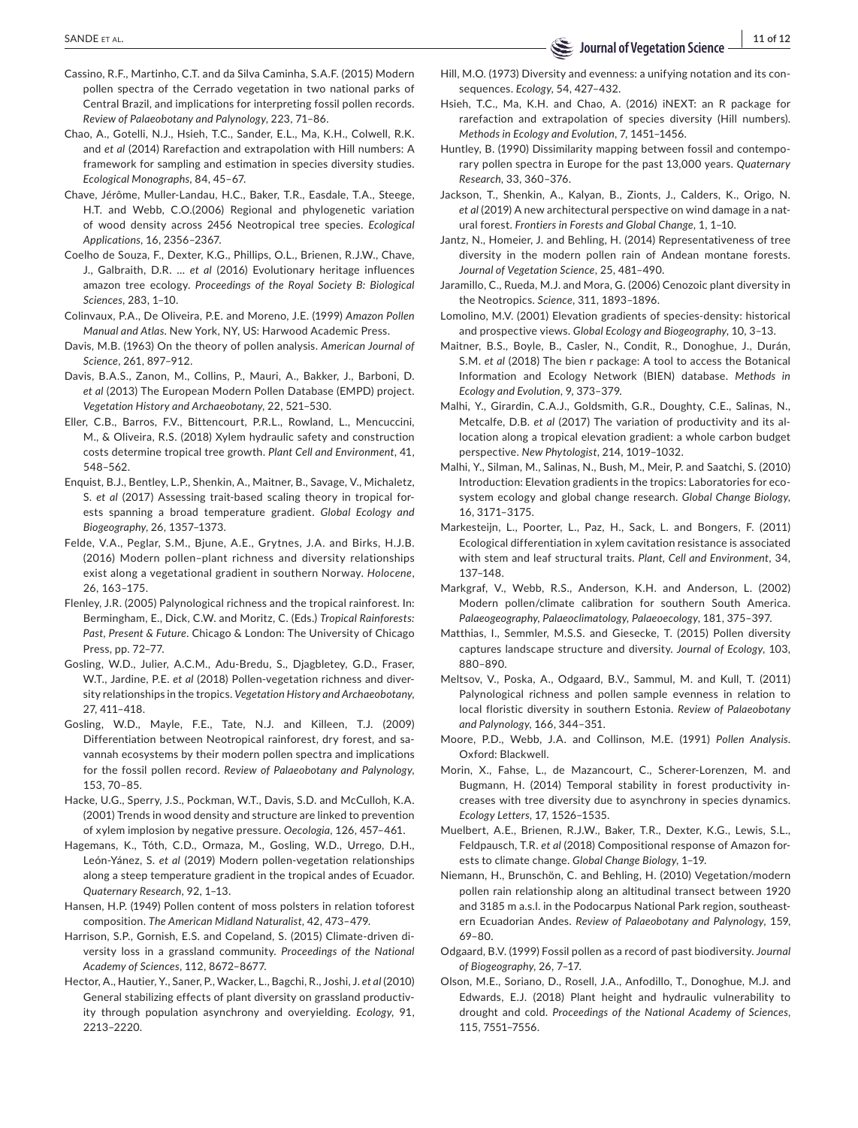- Cassino, R.F., Martinho, C.T. and da Silva Caminha, S.A.F. (2015) Modern pollen spectra of the Cerrado vegetation in two national parks of Central Brazil, and implications for interpreting fossil pollen records. *Review of Palaeobotany and Palynology*, 223, 71–86.
- Chao, A., Gotelli, N.J., Hsieh, T.C., Sander, E.L., Ma, K.H., Colwell, R.K. and *et al* (2014) Rarefaction and extrapolation with Hill numbers: A framework for sampling and estimation in species diversity studies. *Ecological Monographs*, 84, 45–67.
- Chave, Jérôme, Muller-Landau, H.C., Baker, T.R., Easdale, T.A., Steege, H.T. and Webb, C.O.(2006) Regional and phylogenetic variation of wood density across 2456 Neotropical tree species. *Ecological Applications*, 16, 2356–2367.
- Coelho de Souza, F., Dexter, K.G., Phillips, O.L., Brienen, R.J.W., Chave, J., Galbraith, D.R. … *et al* (2016) Evolutionary heritage influences amazon tree ecology. *Proceedings of the Royal Society B: Biological Sciences*, 283, 1–10.
- Colinvaux, P.A., De Oliveira, P.E. and Moreno, J.E. (1999) *Amazon Pollen Manual and Atlas*. New York, NY, US: Harwood Academic Press.
- Davis, M.B. (1963) On the theory of pollen analysis. *American Journal of Science*, 261, 897–912.
- Davis, B.A.S., Zanon, M., Collins, P., Mauri, A., Bakker, J., Barboni, D. *et al* (2013) The European Modern Pollen Database (EMPD) project. *Vegetation History and Archaeobotany*, 22, 521–530.
- Eller, C.B., Barros, F.V., Bittencourt, P.R.L., Rowland, L., Mencuccini, M., & Oliveira, R.S. (2018) Xylem hydraulic safety and construction costs determine tropical tree growth. *Plant Cell and Environment*, 41, 548–562.
- Enquist, B.J., Bentley, L.P., Shenkin, A., Maitner, B., Savage, V., Michaletz, S. *et al* (2017) Assessing trait-based scaling theory in tropical forests spanning a broad temperature gradient. *Global Ecology and Biogeography*, 26, 1357–1373.
- Felde, V.A., Peglar, S.M., Bjune, A.E., Grytnes, J.A. and Birks, H.J.B. (2016) Modern pollen–plant richness and diversity relationships exist along a vegetational gradient in southern Norway. *Holocene*, 26, 163–175.
- Flenley, J.R. (2005) Palynological richness and the tropical rainforest. In: Bermingham, E., Dick, C.W. and Moritz, C. (Eds.) *Tropical Rainforests: Past, Present & Future*. Chicago & London: The University of Chicago Press, pp. 72–77.
- Gosling, W.D., Julier, A.C.M., Adu-Bredu, S., Djagbletey, G.D., Fraser, W.T., Jardine, P.E. *et al* (2018) Pollen-vegetation richness and diversity relationships in the tropics. *Vegetation History and Archaeobotany*, 27, 411–418.
- Gosling, W.D., Mayle, F.E., Tate, N.J. and Killeen, T.J. (2009) Differentiation between Neotropical rainforest, dry forest, and savannah ecosystems by their modern pollen spectra and implications for the fossil pollen record. *Review of Palaeobotany and Palynology*, 153, 70–85.
- Hacke, U.G., Sperry, J.S., Pockman, W.T., Davis, S.D. and McCulloh, K.A. (2001) Trends in wood density and structure are linked to prevention of xylem implosion by negative pressure. *Oecologia*, 126, 457–461.
- Hagemans, K., Tóth, C.D., Ormaza, M., Gosling, W.D., Urrego, D.H., León-Yánez, S. *et al* (2019) Modern pollen-vegetation relationships along a steep temperature gradient in the tropical andes of Ecuador. *Quaternary Research*, 92, 1–13.
- Hansen, H.P. (1949) Pollen content of moss polsters in relation toforest composition. *The American Midland Naturalist*, 42, 473–479.
- Harrison, S.P., Gornish, E.S. and Copeland, S. (2015) Climate-driven diversity loss in a grassland community. *Proceedings of the National Academy of Sciences*, 112, 8672–8677.
- Hector, A., Hautier, Y., Saner, P., Wacker, L., Bagchi, R., Joshi, J. *et al* (2010) General stabilizing effects of plant diversity on grassland productivity through population asynchrony and overyielding. *Ecology*, 91, 2213–2220.

Hill, M.O. (1973) Diversity and evenness: a unifying notation and its consequences. *Ecology*, 54, 427–432.

- Hsieh, T.C., Ma, K.H. and Chao, A. (2016) iNEXT: an R package for rarefaction and extrapolation of species diversity (Hill numbers). *Methods in Ecology and Evolution*, 7, 1451–1456.
- Huntley, B. (1990) Dissimilarity mapping between fossil and contemporary pollen spectra in Europe for the past 13,000 years. *Quaternary Research*, 33, 360–376.
- Jackson, T., Shenkin, A., Kalyan, B., Zionts, J., Calders, K., Origo, N. *et al* (2019) A new architectural perspective on wind damage in a natural forest. *Frontiers in Forests and Global Change*, 1, 1–10.
- Jantz, N., Homeier, J. and Behling, H. (2014) Representativeness of tree diversity in the modern pollen rain of Andean montane forests. *Journal of Vegetation Science*, 25, 481–490.
- Jaramillo, C., Rueda, M.J. and Mora, G. (2006) Cenozoic plant diversity in the Neotropics. *Science*, 311, 1893–1896.
- Lomolino, M.V. (2001) Elevation gradients of species-density: historical and prospective views. *Global Ecology and Biogeography*, 10, 3–13.
- Maitner, B.S., Boyle, B., Casler, N., Condit, R., Donoghue, J., Durán, S.M. *et al* (2018) The bien r package: A tool to access the Botanical Information and Ecology Network (BIEN) database. *Methods in Ecology and Evolution*, 9, 373–379.
- Malhi, Y., Girardin, C.A.J., Goldsmith, G.R., Doughty, C.E., Salinas, N., Metcalfe, D.B. *et al* (2017) The variation of productivity and its allocation along a tropical elevation gradient: a whole carbon budget perspective. *New Phytologist*, 214, 1019–1032.
- Malhi, Y., Silman, M., Salinas, N., Bush, M., Meir, P. and Saatchi, S. (2010) Introduction: Elevation gradients in the tropics: Laboratories for ecosystem ecology and global change research. *Global Change Biology*, 16, 3171–3175.
- Markesteijn, L., Poorter, L., Paz, H., Sack, L. and Bongers, F. (2011) Ecological differentiation in xylem cavitation resistance is associated with stem and leaf structural traits. *Plant, Cell and Environment*, 34, 137–148.
- Markgraf, V., Webb, R.S., Anderson, K.H. and Anderson, L. (2002) Modern pollen/climate calibration for southern South America. *Palaeogeography, Palaeoclimatology, Palaeoecology*, 181, 375–397.
- Matthias, I., Semmler, M.S.S. and Giesecke, T. (2015) Pollen diversity captures landscape structure and diversity. *Journal of Ecology*, 103, 880–890.
- Meltsov, V., Poska, A., Odgaard, B.V., Sammul, M. and Kull, T. (2011) Palynological richness and pollen sample evenness in relation to local floristic diversity in southern Estonia. *Review of Palaeobotany and Palynology*, 166, 344–351.
- Moore, P.D., Webb, J.A. and Collinson, M.E. (1991) *Pollen Analysis*. Oxford: Blackwell.
- Morin, X., Fahse, L., de Mazancourt, C., Scherer-Lorenzen, M. and Bugmann, H. (2014) Temporal stability in forest productivity increases with tree diversity due to asynchrony in species dynamics. *Ecology Letters*, 17, 1526–1535.
- Muelbert, A.E., Brienen, R.J.W., Baker, T.R., Dexter, K.G., Lewis, S.L., Feldpausch, T.R. *et al* (2018) Compositional response of Amazon forests to climate change. *Global Change Biology*, 1–19.
- Niemann, H., Brunschön, C. and Behling, H. (2010) Vegetation/modern pollen rain relationship along an altitudinal transect between 1920 and 3185 m a.s.l. in the Podocarpus National Park region, southeastern Ecuadorian Andes. *Review of Palaeobotany and Palynology*, 159, 69–80.
- Odgaard, B.V. (1999) Fossil pollen as a record of past biodiversity. *Journal of Biogeography*, 26, 7–17.
- Olson, M.E., Soriano, D., Rosell, J.A., Anfodillo, T., Donoghue, M.J. and Edwards, E.J. (2018) Plant height and hydraulic vulnerability to drought and cold. *Proceedings of the National Academy of Sciences*, 115, 7551–7556.